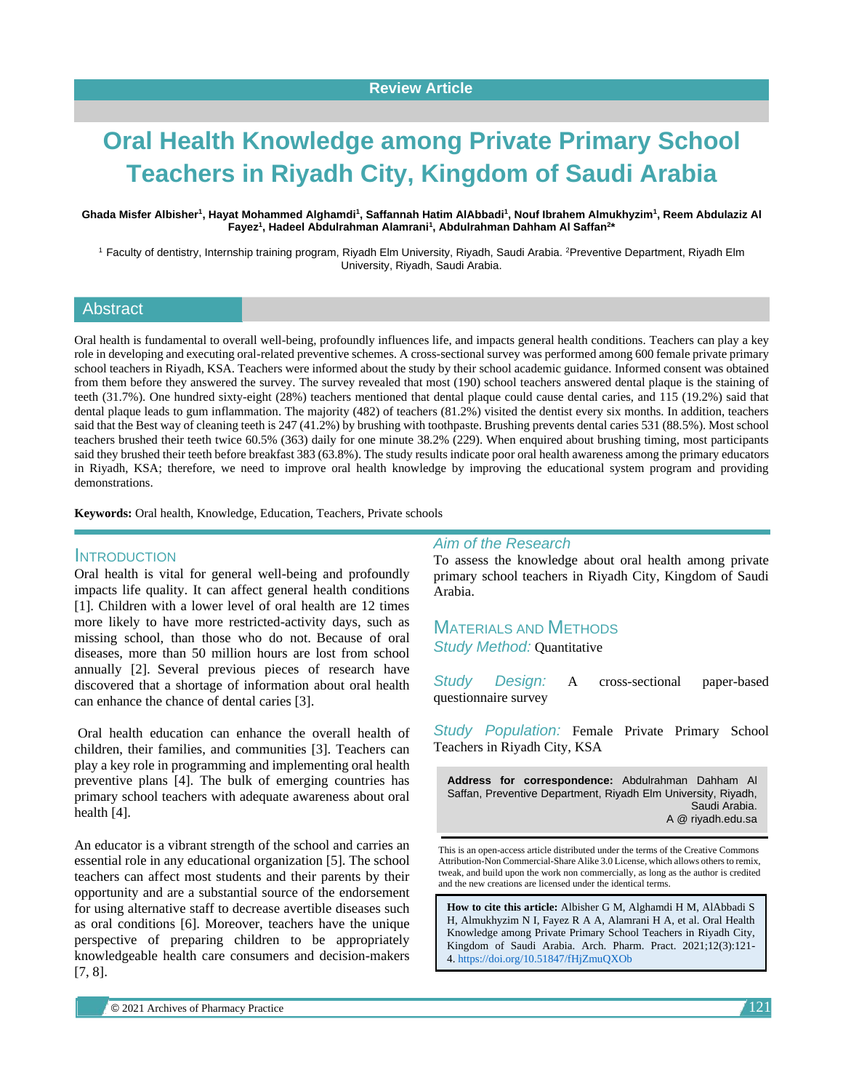# **Oral Health Knowledge among Private Primary School Teachers in Riyadh City, Kingdom of Saudi Arabia**

**Ghada Misfer Albisher<sup>1</sup> , Hayat Mohammed Alghamdi<sup>1</sup> , Saffannah Hatim AlAbbadi<sup>1</sup> , Nouf Ibrahem Almukhyzim<sup>1</sup> , Reem Abdulaziz Al Fayez<sup>1</sup> , Hadeel Abdulrahman Alamrani<sup>1</sup> , Abdulrahman Dahham Al Saffan<sup>2</sup> \***

<sup>1</sup> Faculty of dentistry, Internship training program, Riyadh Elm University, Riyadh, Saudi Arabia. <sup>2</sup>Preventive Department, Riyadh Elm University, Riyadh, Saudi Arabia.

#### **Abstract**

Oral health is fundamental to overall well-being, profoundly influences life, and impacts general health conditions. Teachers can play a key role in developing and executing oral-related preventive schemes. A cross-sectional survey was performed among 600 female private primary school teachers in Riyadh, KSA. Teachers were informed about the study by their school academic guidance. Informed consent was obtained from them before they answered the survey. The survey revealed that most (190) school teachers answered dental plaque is the staining of teeth (31.7%). One hundred sixty-eight (28%) teachers mentioned that dental plaque could cause dental caries, and 115 (19.2%) said that dental plaque leads to gum inflammation. The majority (482) of teachers (81.2%) visited the dentist every six months. In addition, teachers said that the Best way of cleaning teeth is 247 (41.2%) by brushing with toothpaste. Brushing prevents dental caries 531 (88.5%). Most school teachers brushed their teeth twice 60.5% (363) daily for one minute 38.2% (229). When enquired about brushing timing, most participants said they brushed their teeth before breakfast 383 (63.8%). The study results indicate poor oral health awareness among the primary educators in Riyadh, KSA; therefore, we need to improve oral health knowledge by improving the educational system program and providing demonstrations.

**Keywords:** Oral health, Knowledge, Education, Teachers, Private schools

#### INTRODUCTION

Oral health is vital for general well-being and profoundly impacts life quality. It can affect general health conditions [1]. Children with a lower level of oral health are 12 times more likely to have more restricted-activity days, such as missing school, than those who do not. Because of oral diseases, more than 50 million hours are lost from school annually [2]. Several previous pieces of research have discovered that a shortage of information about oral health can enhance the chance of dental caries [3].

Oral health education can enhance the overall health of children, their families, and communities [3]. Teachers can play a key role in programming and implementing oral health preventive plans [4]. The bulk of emerging countries has primary school teachers with adequate awareness about oral health [4].

An educator is a vibrant strength of the school and carries an essential role in any educational organization [5]. The school teachers can affect most students and their parents by their opportunity and are a substantial source of the endorsement for using alternative staff to decrease avertible diseases such as oral conditions [6]. Moreover, teachers have the unique perspective of preparing children to be appropriately knowledgeable health care consumers and decision-makers [7, 8].

*Aim of the Research*

To assess the knowledge about oral health among private primary school teachers in Riyadh City, Kingdom of Saudi Arabia.

MATERIALS AND METHODS *Study Method:* Quantitative

*Study Design:* A cross-sectional paper-based questionnaire survey

*Study Population:* Female Private Primary School Teachers in Riyadh City, KSA

**Address for correspondence:** Abdulrahman Dahham Al Saffan, Preventive Department, Riyadh Elm University, Riyadh, Saudi Arabia. A @ riyadh.edu.sa

This is an open-access article distributed under the terms of the Creative Commons Attribution-Non Commercial-Share Alike 3.0 License, which allows others to remix, tweak, and build upon the work non commercially, as long as the author is credited and the new creations are licensed under the identical terms.

**How to cite this article:** Albisher G M, Alghamdi H M, AlAbbadi S H, Almukhyzim N I, Fayez R A A, Alamrani H A, et al. Oral Health Knowledge among Private Primary School Teachers in Riyadh City, Kingdom of Saudi Arabia. Arch. Pharm. Pract. 2021;12(3):121- 4. <https://doi.org/10.51847/fHjZmuQXOb>

© 2021 Archives of Pharmacy Practice 1 121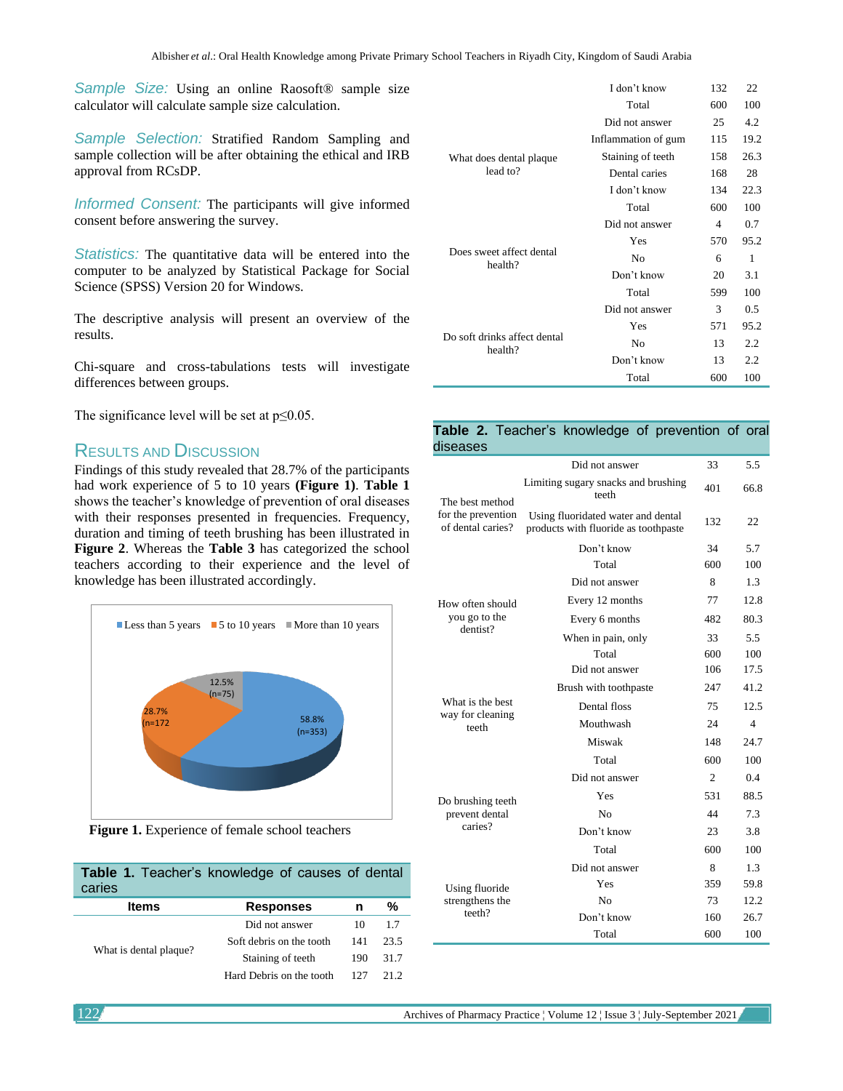*Sample Size:* Using an online Raosoft® sample size calculator will calculate sample size calculation.

*Sample Selection:* Stratified Random Sampling and sample collection will be after obtaining the ethical and IRB approval from RCsDP.

*Informed Consent:* The participants will give informed consent before answering the survey.

*Statistics:* The quantitative data will be entered into the computer to be analyzed by Statistical Package for Social Science (SPSS) Version 20 for Windows.

The descriptive analysis will present an overview of the results.

Chi-square and cross-tabulations tests will investigate differences between groups.

The significance level will be set at  $p \leq 0.05$ .

## RESULTS AND DISCUSSION

Findings of this study revealed that 28.7% of the participants had work experience of 5 to 10 years **(Figure 1)**. **Table 1** shows the teacher's knowledge of prevention of oral diseases with their responses presented in frequencies. Frequency, duration and timing of teeth brushing has been illustrated in **Figure 2**. Whereas the **Table 3** has categorized the school teachers according to their experience and the level of knowledge has been illustrated accordingly.



**Figure 1.** Experience of female school teachers

| Table 1. Teacher's knowledge of causes of dental<br>caries |     |      |  |  |  |  |
|------------------------------------------------------------|-----|------|--|--|--|--|
| <b>Items</b><br><b>Responses</b>                           |     | %    |  |  |  |  |
| Did not answer                                             | 10  | 1.7  |  |  |  |  |
| Soft debris on the tooth                                   | 141 | 23.5 |  |  |  |  |
| Staining of teeth                                          | 190 | 31.7 |  |  |  |  |
| Hard Debris on the tooth                                   | 127 | 21 2 |  |  |  |  |
|                                                            |     | n    |  |  |  |  |

| I don't know        |     |      |
|---------------------|-----|------|
| Total               | 600 | 100  |
| Did not answer      | 25  | 4.2  |
| Inflammation of gum | 115 | 19.2 |
| Staining of teeth   | 158 | 26.3 |
| Dental caries       | 168 | 28   |
| I don't know        | 134 | 22.3 |
| Total               | 600 | 100  |
| Did not answer      | 4   | 0.7  |
| Yes                 | 570 | 95.2 |
| No                  | 6   | 1    |
| Don't know          | 20  | 3.1  |
| Total               | 599 | 100  |
| Did not answer      | 3   | 0.5  |
| Yes                 | 571 | 95.2 |
| No                  | 13  | 2.2  |
| Don't know          | 13  | 2.2  |
| Total               | 600 | 100  |
|                     |     | 132  |

#### **Table 2.** Teacher's knowledge of prevention of oral diseases

|                                                            | Did not answer                                                             | 33             | 5.5  |
|------------------------------------------------------------|----------------------------------------------------------------------------|----------------|------|
| The best method<br>for the prevention<br>of dental caries? | Limiting sugary snacks and brushing<br>teeth                               | 401            | 66.8 |
|                                                            | Using fluoridated water and dental<br>products with fluoride as toothpaste | 132            | 22   |
|                                                            | Don't know                                                                 | 34             | 5.7  |
|                                                            | Total                                                                      | 600            | 100  |
|                                                            | Did not answer                                                             | 8              | 1.3  |
| How often should                                           | Every 12 months                                                            | 77             | 12.8 |
| you go to the<br>dentist?                                  | Every 6 months                                                             | 482            | 80.3 |
|                                                            | When in pain, only                                                         | 33             | 5.5  |
|                                                            | Total                                                                      | 600            | 100  |
|                                                            | Did not answer                                                             | 106            | 17.5 |
| What is the best<br>way for cleaning<br>teeth              | Brush with toothpaste                                                      | 247            | 41.2 |
|                                                            | Dental floss                                                               | 75             | 12.5 |
|                                                            | Mouthwash                                                                  | 24             | 4    |
|                                                            | Miswak                                                                     | 148            | 24.7 |
|                                                            | Total                                                                      | 600            | 100  |
| Do brushing teeth<br>prevent dental<br>caries?             | Did not answer                                                             | $\mathfrak{2}$ | 0.4  |
|                                                            | Yes                                                                        | 531            | 88.5 |
|                                                            | No                                                                         | 44             | 7.3  |
|                                                            | Don't know                                                                 | 23             | 3.8  |
|                                                            | Total                                                                      | 600            | 100  |
| Using fluoride<br>strengthens the<br>teeth?                | Did not answer                                                             | 8              | 1.3  |
|                                                            | Yes                                                                        | 359            | 59.8 |
|                                                            | N <sub>0</sub>                                                             | 73             | 12.2 |
|                                                            | Don't know                                                                 | 160            | 26.7 |
|                                                            | Total                                                                      | 600            | 100  |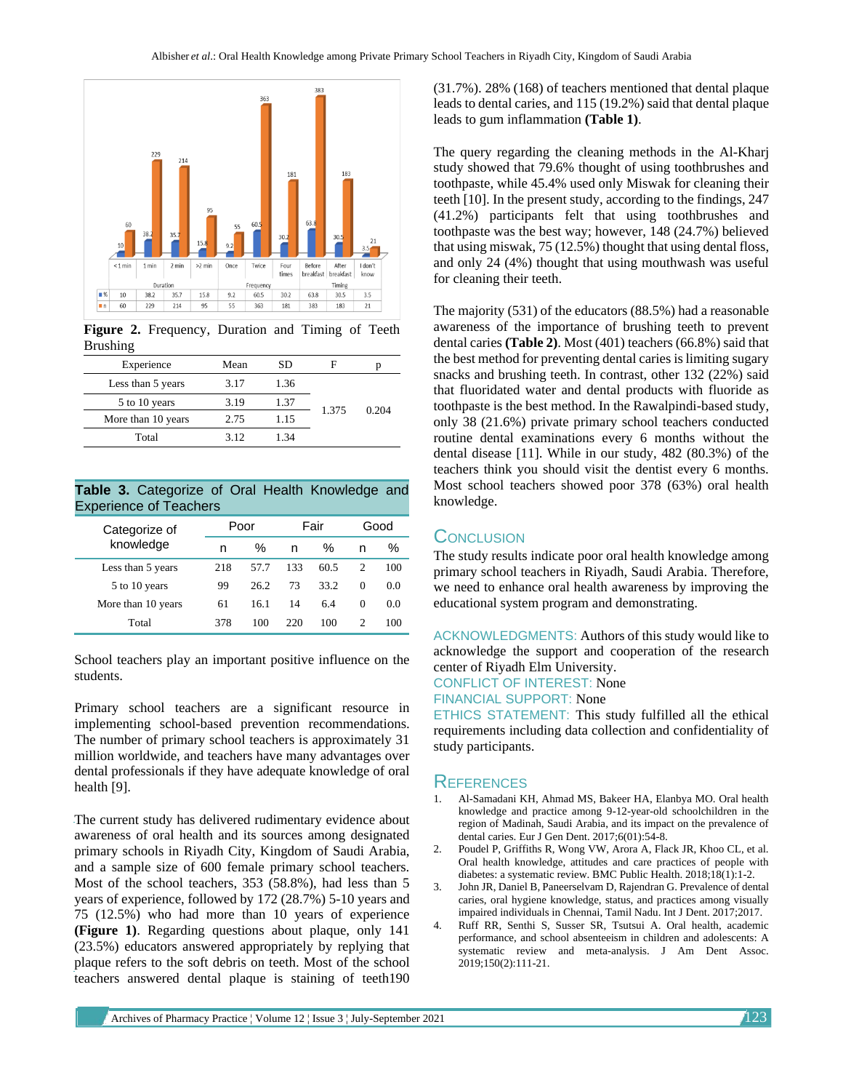

**Figure 2.** Frequency, Duration and Timing of Teeth Brushing

| Experience         | Mean | SD   |       |       |
|--------------------|------|------|-------|-------|
| Less than 5 years  | 3.17 | 1.36 | 1.375 | 0.204 |
| 5 to 10 years      | 3.19 | 1.37 |       |       |
| More than 10 years | 2.75 | 1.15 |       |       |
| Total              | 3.12 | 1.34 |       |       |

**Table 3.** Categorize of Oral Health Knowledge and Experience of Teachers

| Categorize of<br>knowledge | Poor |      | Fair |      | Good          |     |
|----------------------------|------|------|------|------|---------------|-----|
|                            | n    | %    | n    | $\%$ | n             | ℅   |
| Less than 5 years          | 218  | 57.7 | 133  | 60.5 | 2             | 100 |
| 5 to 10 years              | 99   | 26.2 | 73   | 33.2 | $\Omega$      | 0.0 |
| More than 10 years         | 61   | 16.1 | 14   | 6.4  | $\Omega$      | 0.0 |
| Total                      | 378  | 100  | 220  | 100  | $\mathcal{D}$ | 100 |

School teachers play an important positive influence on the students.

Primary school teachers are a significant resource in implementing school-based prevention recommendations. The number of primary school teachers is approximately 31 million worldwide, and teachers have many advantages over dental professionals if they have adequate knowledge of oral health [9].

The current study has delivered rudimentary evidence about awareness of oral health and its sources among designated primary schools in Riyadh City, Kingdom of Saudi Arabia, and a sample size of 600 female primary school teachers. Most of the school teachers, 353 (58.8%), had less than 5 years of experience, followed by 172 (28.7%) 5-10 years and 75 (12.5%) who had more than 10 years of experience **(Figure 1)**. Regarding questions about plaque, only 141 (23.5%) educators answered appropriately by replying that plaque refers to the soft debris on teeth. Most of the school teachers answered dental plaque is staining of teeth190 (31.7%). 28% (168) of teachers mentioned that dental plaque leads to dental caries, and 115 (19.2%) said that dental plaque leads to gum inflammation **(Table 1)**.

The query regarding the cleaning methods in the Al-Kharj study showed that 79.6% thought of using toothbrushes and toothpaste, while 45.4% used only Miswak for cleaning their teeth [10]. In the present study, according to the findings, 247 (41.2%) participants felt that using toothbrushes and toothpaste was the best way; however, 148 (24.7%) believed that using miswak, 75 (12.5%) thought that using dental floss, and only 24 (4%) thought that using mouthwash was useful for cleaning their teeth.

The majority (531) of the educators (88.5%) had a reasonable awareness of the importance of brushing teeth to prevent dental caries **(Table 2)**. Most (401) teachers (66.8%) said that the best method for preventing dental caries is limiting sugary snacks and brushing teeth. In contrast, other 132 (22%) said that fluoridated water and dental products with fluoride as toothpaste is the best method. In the Rawalpindi-based study, only 38 (21.6%) private primary school teachers conducted routine dental examinations every 6 months without the dental disease [11]. While in our study, 482 (80.3%) of the teachers think you should visit the dentist every 6 months. Most school teachers showed poor 378 (63%) oral health knowledge.

## **CONCLUSION**

The study results indicate poor oral health knowledge among primary school teachers in Riyadh, Saudi Arabia. Therefore, we need to enhance oral health awareness by improving the educational system program and demonstrating.

ACKNOWLEDGMENTS: Authors of this study would like to acknowledge the support and cooperation of the research center of Riyadh Elm University.

CONFLICT OF INTEREST: None

FINANCIAL SUPPORT: None

ETHICS STATEMENT: This study fulfilled all the ethical requirements including data collection and confidentiality of study participants.

## **REFERENCES**

- 1. Al-Samadani KH, Ahmad MS, Bakeer HA, Elanbya MO. Oral health knowledge and practice among 9-12-year-old schoolchildren in the region of Madinah, Saudi Arabia, and its impact on the prevalence of dental caries. Eur J Gen Dent. 2017;6(01):54-8.
- 2. Poudel P, Griffiths R, Wong VW, Arora A, Flack JR, Khoo CL, et al. Oral health knowledge, attitudes and care practices of people with diabetes: a systematic review. BMC Public Health. 2018;18(1):1-2.
- 3. John JR, Daniel B, Paneerselvam D, Rajendran G. Prevalence of dental caries, oral hygiene knowledge, status, and practices among visually impaired individuals in Chennai, Tamil Nadu. Int J Dent. 2017;2017.
- 4. Ruff RR, Senthi S, Susser SR, Tsutsui A. Oral health, academic performance, and school absenteeism in children and adolescents: A systematic review and meta-analysis. J Am Dent Assoc. 2019;150(2):111-21.

Archives of Pharmacy Practice ¦ Volume 12 ¦ Issue 3 ¦ July-September 2021 123